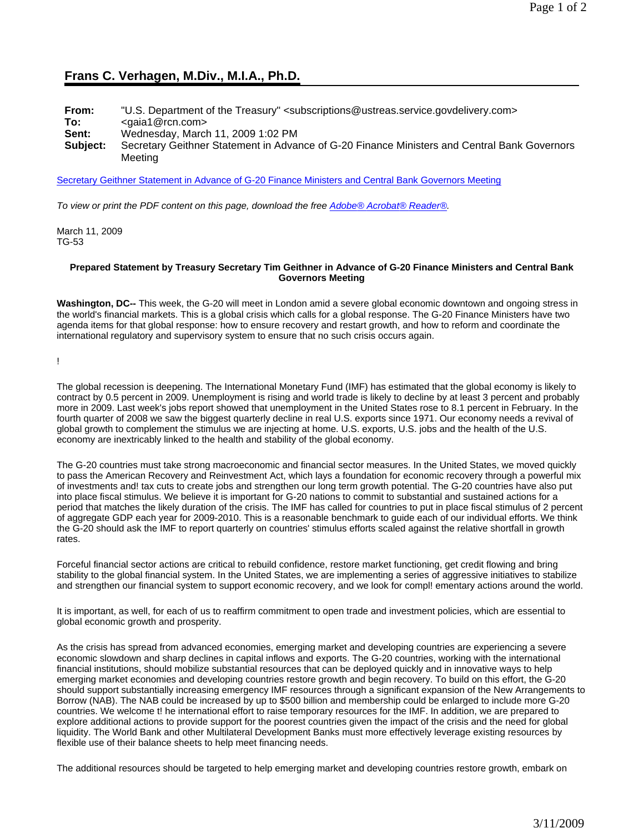## **Frans C. Verhagen, M.Div., M.I.A., Ph.D.**

| From:<br>To: | "U.S. Department of the Treasury" <subscriptions@ustreas.service.govdelivery.com><br/><math>\le</math>gaia1@rcn.com&gt;</subscriptions@ustreas.service.govdelivery.com> |
|--------------|-------------------------------------------------------------------------------------------------------------------------------------------------------------------------|
| Sent:        | Wednesday, March 11, 2009 1:02 PM                                                                                                                                       |
| Subject:     | Secretary Geithner Statement in Advance of G-20 Finance Ministers and Central Bank Governors<br>Meetina                                                                 |

Secretary Geithner Statement in Advance of G-20 Finance Ministers and Central Bank Governors Meeting

*To view or print the PDF content on this page, download the free Adobe® Acrobat® Reader®.*

March 11, 2009 TG-53

## **Prepared Statement by Treasury Secretary Tim Geithner in Advance of G-20 Finance Ministers and Central Bank Governors Meeting**

**Washington, DC--** This week, the G-20 will meet in London amid a severe global economic downtown and ongoing stress in the world's financial markets. This is a global crisis which calls for a global response. The G-20 Finance Ministers have two agenda items for that global response: how to ensure recovery and restart growth, and how to reform and coordinate the international regulatory and supervisory system to ensure that no such crisis occurs again.

!

The global recession is deepening. The International Monetary Fund (IMF) has estimated that the global economy is likely to contract by 0.5 percent in 2009. Unemployment is rising and world trade is likely to decline by at least 3 percent and probably more in 2009. Last week's jobs report showed that unemployment in the United States rose to 8.1 percent in February. In the fourth quarter of 2008 we saw the biggest quarterly decline in real U.S. exports since 1971. Our economy needs a revival of global growth to complement the stimulus we are injecting at home. U.S. exports, U.S. jobs and the health of the U.S. economy are inextricably linked to the health and stability of the global economy.

The G-20 countries must take strong macroeconomic and financial sector measures. In the United States, we moved quickly to pass the American Recovery and Reinvestment Act, which lays a foundation for economic recovery through a powerful mix of investments and! tax cuts to create jobs and strengthen our long term growth potential. The G-20 countries have also put into place fiscal stimulus. We believe it is important for G-20 nations to commit to substantial and sustained actions for a period that matches the likely duration of the crisis. The IMF has called for countries to put in place fiscal stimulus of 2 percent of aggregate GDP each year for 2009-2010. This is a reasonable benchmark to guide each of our individual efforts. We think the G-20 should ask the IMF to report quarterly on countries' stimulus efforts scaled against the relative shortfall in growth rates.

Forceful financial sector actions are critical to rebuild confidence, restore market functioning, get credit flowing and bring stability to the global financial system. In the United States, we are implementing a series of aggressive initiatives to stabilize and strengthen our financial system to support economic recovery, and we look for compl! ementary actions around the world.

It is important, as well, for each of us to reaffirm commitment to open trade and investment policies, which are essential to global economic growth and prosperity.

As the crisis has spread from advanced economies, emerging market and developing countries are experiencing a severe economic slowdown and sharp declines in capital inflows and exports. The G-20 countries, working with the international financial institutions, should mobilize substantial resources that can be deployed quickly and in innovative ways to help emerging market economies and developing countries restore growth and begin recovery. To build on this effort, the G-20 should support substantially increasing emergency IMF resources through a significant expansion of the New Arrangements to Borrow (NAB). The NAB could be increased by up to \$500 billion and membership could be enlarged to include more G-20 countries. We welcome t! he international effort to raise temporary resources for the IMF. In addition, we are prepared to explore additional actions to provide support for the poorest countries given the impact of the crisis and the need for global liquidity. The World Bank and other Multilateral Development Banks must more effectively leverage existing resources by flexible use of their balance sheets to help meet financing needs.

The additional resources should be targeted to help emerging market and developing countries restore growth, embark on